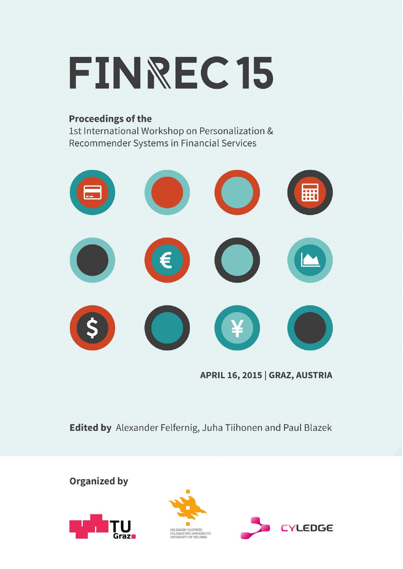

## **Proceedings of the**

1st International Workshop on Personalization & Recommender Systems in Financial Services



APRIL 16, 2015 | GRAZ, AUSTRIA

Edited by Alexander Felfernig, Juha Tiihonen and Paul Blazek

**Organized by** 





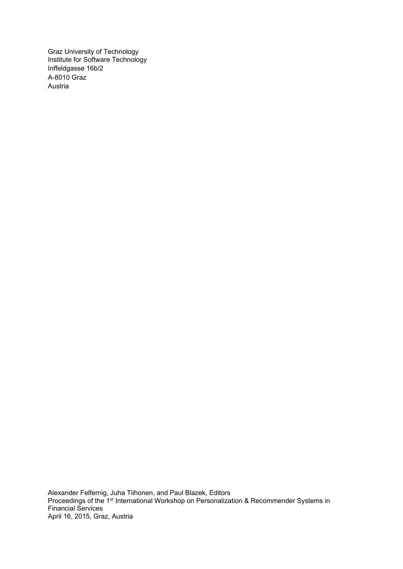Graz University of Technology Institute for Software Technology Inffeldgasse 16b/2 A-8010 Graz Austria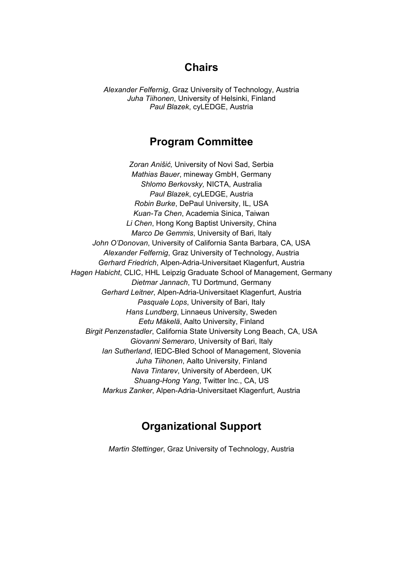# **Chairs**

*Alexander Felfernig*, Graz University of Technology, Austria *Juha Tiihonen*, University of Helsinki, Finland *Paul Blazek*, cyLEDGE, Austria

## **Program Committee**

*Zoran Anišić,* University of Novi Sad, Serbia *Mathias Bauer*, mineway GmbH, Germany *Shlomo Berkovsky,* NICTA, Australia *Paul Blazek*, cyLEDGE, Austria *Robin Burke*, DePaul University, IL, USA *Kuan-Ta Chen*, Academia Sinica, Taiwan *Li Chen*, Hong Kong Baptist University, China *Marco De Gemmis*, University of Bari, Italy *John O'Donovan*, University of California Santa Barbara, CA, USA *Alexander Felfernig*, Graz University of Technology, Austria *Gerhard Friedrich*, Alpen-Adria-Universitaet Klagenfurt, Austria *Hagen Habicht*, CLIC, HHL Leipzig Graduate School of Management, Germany *Dietmar Jannach*, TU Dortmund, Germany *Gerhard Leitner*, Alpen-Adria-Universitaet Klagenfurt, Austria *Pasquale Lops*, University of Bari, Italy *Hans Lundberg*, Linnaeus University, Sweden *Eetu Mäkelä*, Aalto University, Finland *Birgit Penzenstadler*, California State University Long Beach, CA, USA *Giovanni Semeraro*, University of Bari, Italy *Ian Sutherland*, IEDC-Bled School of Management, Slovenia *Juha Tiihonen*, Aalto University, Finland *Nava Tintarev*, University of Aberdeen, UK *Shuang-Hong Yang*, Twitter Inc., CA, US *Markus Zanker*, Alpen-Adria-Universitaet Klagenfurt, Austria

# **Organizational Support**

*Martin Stettinger*, Graz University of Technology, Austria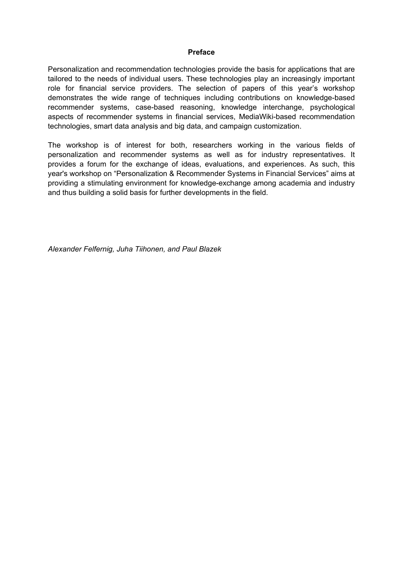#### **Preface**

Personalization and recommendation technologies provide the basis for applications that are tailored to the needs of individual users. These technologies play an increasingly important role for financial service providers. The selection of papers of this year's workshop demonstrates the wide range of techniques including contributions on knowledge-based recommender systems, case-based reasoning, knowledge interchange, psychological aspects of recommender systems in financial services, MediaWiki-based recommendation technologies, smart data analysis and big data, and campaign customization.

The workshop is of interest for both, researchers working in the various fields of personalization and recommender systems as well as for industry representatives. It provides a forum for the exchange of ideas, evaluations, and experiences. As such, this year's workshop on "Personalization & Recommender Systems in Financial Services" aims at providing a stimulating environment for knowledge-exchange among academia and industry and thus building a solid basis for further developments in the field.

*Alexander Felfernig, Juha Tiihonen, and Paul Blazek*